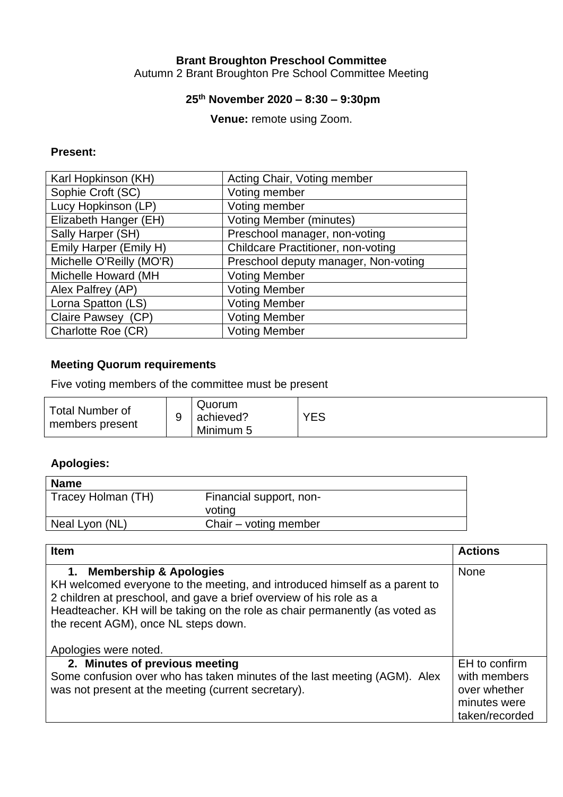# **Brant Broughton Preschool Committee**

Autumn 2 Brant Broughton Pre School Committee Meeting

#### **25th November 2020 – 8:30 – 9:30pm**

**Venue:** remote using Zoom.

#### **Present:**

| Karl Hopkinson (KH)      | Acting Chair, Voting member               |
|--------------------------|-------------------------------------------|
| Sophie Croft (SC)        | Voting member                             |
| Lucy Hopkinson (LP)      | Voting member                             |
| Elizabeth Hanger (EH)    | <b>Voting Member (minutes)</b>            |
| Sally Harper (SH)        | Preschool manager, non-voting             |
| Emily Harper (Emily H)   | <b>Childcare Practitioner, non-voting</b> |
| Michelle O'Reilly (MO'R) | Preschool deputy manager, Non-voting      |
| Michelle Howard (MH      | <b>Voting Member</b>                      |
| Alex Palfrey (AP)        | <b>Voting Member</b>                      |
| Lorna Spatton (LS)       | <b>Voting Member</b>                      |
| Claire Pawsey (CP)       | <b>Voting Member</b>                      |
| Charlotte Roe (CR)       | <b>Voting Member</b>                      |

### **Meeting Quorum requirements**

Five voting members of the committee must be present

| <b>Total Number of</b><br>members present | Quorum<br>achieved?<br>Minimum 5 | YES |
|-------------------------------------------|----------------------------------|-----|
|-------------------------------------------|----------------------------------|-----|

## **Apologies:**

| Financial support, non- |
|-------------------------|
| voting                  |
| Chair – voting member   |
|                         |

| <b>Item</b>                                                                                                                                                                                                                                                                                                                                               | <b>Actions</b>                                                                  |
|-----------------------------------------------------------------------------------------------------------------------------------------------------------------------------------------------------------------------------------------------------------------------------------------------------------------------------------------------------------|---------------------------------------------------------------------------------|
| <b>Membership &amp; Apologies</b><br>$\mathbf{1}$ .<br>KH welcomed everyone to the meeting, and introduced himself as a parent to<br>2 children at preschool, and gave a brief overview of his role as a<br>Headteacher. KH will be taking on the role as chair permanently (as voted as<br>the recent AGM), once NL steps down.<br>Apologies were noted. | <b>None</b>                                                                     |
| 2. Minutes of previous meeting<br>Some confusion over who has taken minutes of the last meeting (AGM). Alex<br>was not present at the meeting (current secretary).                                                                                                                                                                                        | EH to confirm<br>with members<br>over whether<br>minutes were<br>taken/recorded |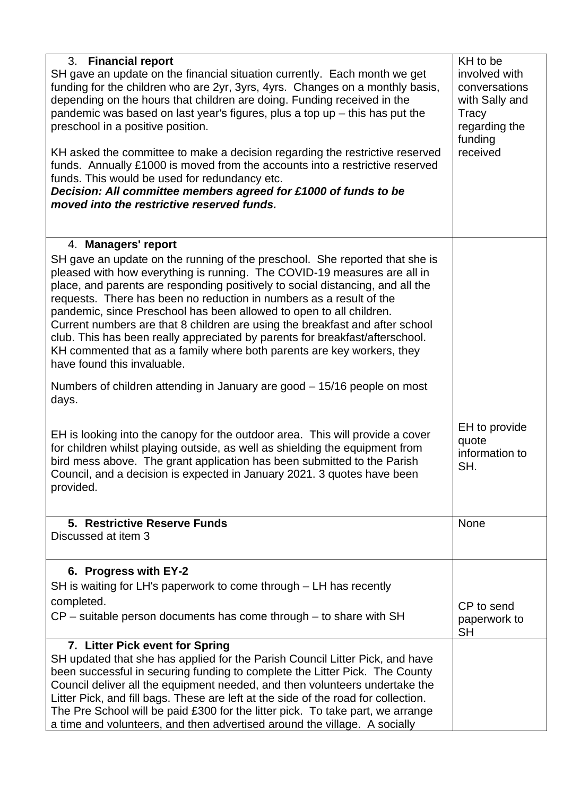| <b>Financial report</b><br>3.<br>SH gave an update on the financial situation currently. Each month we get<br>funding for the children who are 2yr, 3yrs, 4yrs. Changes on a monthly basis,<br>depending on the hours that children are doing. Funding received in the<br>pandemic was based on last year's figures, plus a top up $-$ this has put the<br>preschool in a positive position.<br>KH asked the committee to make a decision regarding the restrictive reserved<br>funds. Annually £1000 is moved from the accounts into a restrictive reserved<br>funds. This would be used for redundancy etc.<br>Decision: All committee members agreed for £1000 of funds to be<br>moved into the restrictive reserved funds. | KH to be<br>involved with<br>conversations<br>with Sally and<br>Tracy<br>regarding the<br>funding<br>received |
|--------------------------------------------------------------------------------------------------------------------------------------------------------------------------------------------------------------------------------------------------------------------------------------------------------------------------------------------------------------------------------------------------------------------------------------------------------------------------------------------------------------------------------------------------------------------------------------------------------------------------------------------------------------------------------------------------------------------------------|---------------------------------------------------------------------------------------------------------------|
| 4. Managers' report<br>SH gave an update on the running of the preschool. She reported that she is<br>pleased with how everything is running. The COVID-19 measures are all in<br>place, and parents are responding positively to social distancing, and all the<br>requests. There has been no reduction in numbers as a result of the<br>pandemic, since Preschool has been allowed to open to all children.<br>Current numbers are that 8 children are using the breakfast and after school<br>club. This has been really appreciated by parents for breakfast/afterschool.<br>KH commented that as a family where both parents are key workers, they<br>have found this invaluable.                                        |                                                                                                               |
| Numbers of children attending in January are good – 15/16 people on most<br>days.<br>EH is looking into the canopy for the outdoor area. This will provide a cover<br>for children whilst playing outside, as well as shielding the equipment from<br>bird mess above. The grant application has been submitted to the Parish<br>Council, and a decision is expected in January 2021. 3 quotes have been<br>provided.                                                                                                                                                                                                                                                                                                          | EH to provide<br>quote<br>information to<br>SH.                                                               |
| 5. Restrictive Reserve Funds<br>Discussed at item 3                                                                                                                                                                                                                                                                                                                                                                                                                                                                                                                                                                                                                                                                            | None                                                                                                          |
| 6. Progress with EY-2<br>SH is waiting for LH's paperwork to come through – LH has recently<br>completed.<br>$CP$ – suitable person documents has come through – to share with SH                                                                                                                                                                                                                                                                                                                                                                                                                                                                                                                                              | CP to send<br>paperwork to<br><b>SH</b>                                                                       |
| 7. Litter Pick event for Spring<br>SH updated that she has applied for the Parish Council Litter Pick, and have<br>been successful in securing funding to complete the Litter Pick. The County<br>Council deliver all the equipment needed, and then volunteers undertake the<br>Litter Pick, and fill bags. These are left at the side of the road for collection.<br>The Pre School will be paid £300 for the litter pick. To take part, we arrange<br>a time and volunteers, and then advertised around the village. A socially                                                                                                                                                                                             |                                                                                                               |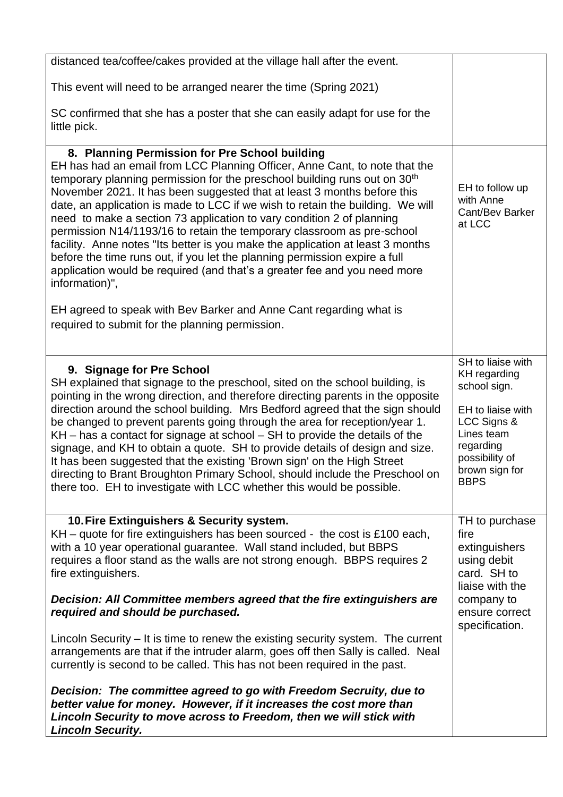| distanced tea/coffee/cakes provided at the village hall after the event.                                                                                                                                                                                                                                                                                                                                                                                                                                                                                                                                                                                                                                                                                                                                                |                                                                                                                                                                     |
|-------------------------------------------------------------------------------------------------------------------------------------------------------------------------------------------------------------------------------------------------------------------------------------------------------------------------------------------------------------------------------------------------------------------------------------------------------------------------------------------------------------------------------------------------------------------------------------------------------------------------------------------------------------------------------------------------------------------------------------------------------------------------------------------------------------------------|---------------------------------------------------------------------------------------------------------------------------------------------------------------------|
| This event will need to be arranged nearer the time (Spring 2021)                                                                                                                                                                                                                                                                                                                                                                                                                                                                                                                                                                                                                                                                                                                                                       |                                                                                                                                                                     |
| SC confirmed that she has a poster that she can easily adapt for use for the<br>little pick.                                                                                                                                                                                                                                                                                                                                                                                                                                                                                                                                                                                                                                                                                                                            |                                                                                                                                                                     |
| 8. Planning Permission for Pre School building<br>EH has had an email from LCC Planning Officer, Anne Cant, to note that the<br>temporary planning permission for the preschool building runs out on 30 <sup>th</sup><br>November 2021. It has been suggested that at least 3 months before this<br>date, an application is made to LCC if we wish to retain the building. We will<br>need to make a section 73 application to vary condition 2 of planning<br>permission N14/1193/16 to retain the temporary classroom as pre-school<br>facility. Anne notes "Its better is you make the application at least 3 months<br>before the time runs out, if you let the planning permission expire a full<br>application would be required (and that's a greater fee and you need more<br>information)",                    | EH to follow up<br>with Anne<br>Cant/Bev Barker<br>at LCC                                                                                                           |
| EH agreed to speak with Bev Barker and Anne Cant regarding what is<br>required to submit for the planning permission.                                                                                                                                                                                                                                                                                                                                                                                                                                                                                                                                                                                                                                                                                                   |                                                                                                                                                                     |
| 9. Signage for Pre School<br>SH explained that signage to the preschool, sited on the school building, is<br>pointing in the wrong direction, and therefore directing parents in the opposite<br>direction around the school building. Mrs Bedford agreed that the sign should<br>be changed to prevent parents going through the area for reception/year 1.<br>$KH$ – has a contact for signage at school – SH to provide the details of the<br>signage, and KH to obtain a quote. SH to provide details of design and size.<br>It has been suggested that the existing 'Brown sign' on the High Street<br>directing to Brant Broughton Primary School, should include the Preschool on<br>there too. EH to investigate with LCC whether this would be possible.                                                       | SH to liaise with<br>KH regarding<br>school sign.<br>EH to liaise with<br>LCC Signs &<br>Lines team<br>regarding<br>possibility of<br>brown sign for<br><b>BBPS</b> |
| 10. Fire Extinguishers & Security system.<br>$KH$ – quote for fire extinguishers has been sourced - the cost is £100 each,<br>with a 10 year operational guarantee. Wall stand included, but BBPS<br>requires a floor stand as the walls are not strong enough. BBPS requires 2<br>fire extinguishers.<br>Decision: All Committee members agreed that the fire extinguishers are<br>required and should be purchased.<br>Lincoln Security – It is time to renew the existing security system. The current<br>arrangements are that if the intruder alarm, goes off then Sally is called. Neal<br>currently is second to be called. This has not been required in the past.<br>Decision: The committee agreed to go with Freedom Secruity, due to<br>better value for money. However, if it increases the cost more than | TH to purchase<br>fire<br>extinguishers<br>using debit<br>card. SH to<br>liaise with the<br>company to<br>ensure correct<br>specification.                          |
| Lincoln Security to move across to Freedom, then we will stick with<br><b>Lincoln Security.</b>                                                                                                                                                                                                                                                                                                                                                                                                                                                                                                                                                                                                                                                                                                                         |                                                                                                                                                                     |